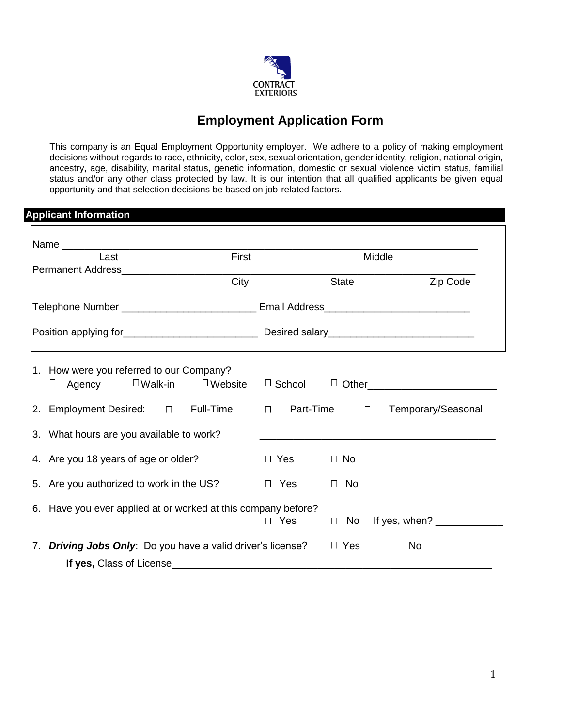

## **Employment Application Form**

This company is an Equal Employment Opportunity employer. We adhere to a policy of making employment decisions without regards to race, ethnicity, color, sex, sexual orientation, gender identity, religion, national origin, ancestry, age, disability, marital status, genetic information, domestic or sexual violence victim status, familial status and/or any other class protected by law. It is our intention that all qualified applicants be given equal opportunity and that selection decisions be based on job-related factors.

## **Applicant Information**

| Last                                                                                             | First |               |                     | Middle                                                |
|--------------------------------------------------------------------------------------------------|-------|---------------|---------------------|-------------------------------------------------------|
|                                                                                                  |       |               |                     |                                                       |
|                                                                                                  | City  |               | State               | Zip Code                                              |
| Telephone Number _____________________________ Email Address____________________                 |       |               |                     |                                                       |
|                                                                                                  |       |               |                     |                                                       |
| 1. How were you referred to our Company?<br>Agency $\Box$ Walk-in $\Box$ Website<br>$\mathbf{1}$ |       |               |                     | □ School <sup>□</sup> Other__________________________ |
| 2. Employment Desired: $\Box$ Full-Time $\Box$ Part-Time $\Box$ Temporary/Seasonal               |       |               |                     |                                                       |
| 3. What hours are you available to work?                                                         |       |               |                     |                                                       |
| 4. Are you 18 years of age or older?                                                             |       | □ Yes    □ No |                     |                                                       |
| 5. Are you authorized to work in the US?                                                         |       | $\Box$ Yes    | <b>No</b><br>$\Box$ |                                                       |
| 6. Have you ever applied at or worked at this company before?                                    |       | $\Box$ Yes    |                     | □ No If yes, when? ____________                       |
| 7. Driving Jobs Only: Do you have a valid driver's license? The Yes                              |       |               |                     | $\Box$ No                                             |
| If yes, Class of License                                                                         |       |               |                     |                                                       |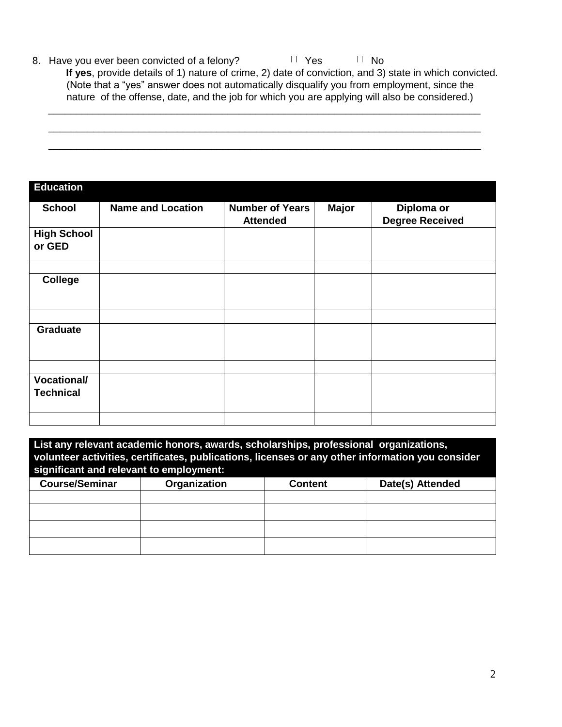8. Have you ever been convicted of a felony?  $\Box$  Yes  $\Box$  No

**If yes**, provide details of 1) nature of crime, 2) date of conviction, and 3) state in which convicted. (Note that a "yes" answer does not automatically disqualify you from employment, since the nature of the offense, date, and the job for which you are applying will also be considered.)

|  |  | _____ |
|--|--|-------|
|  |  |       |
|  |  |       |

| <b>Education</b>                       |                          |                                           |              |                                      |
|----------------------------------------|--------------------------|-------------------------------------------|--------------|--------------------------------------|
| <b>School</b>                          | <b>Name and Location</b> | <b>Number of Years</b><br><b>Attended</b> | <b>Major</b> | Diploma or<br><b>Degree Received</b> |
| <b>High School</b><br>or GED           |                          |                                           |              |                                      |
| <b>College</b>                         |                          |                                           |              |                                      |
| Graduate                               |                          |                                           |              |                                      |
| <b>Vocational/</b><br><b>Technical</b> |                          |                                           |              |                                      |
|                                        |                          |                                           |              |                                      |

| List any relevant academic honors, awards, scholarships, professional organizations,<br>volunteer activities, certificates, publications, licenses or any other information you consider<br>significant and relevant to employment: |              |         |                  |  |
|-------------------------------------------------------------------------------------------------------------------------------------------------------------------------------------------------------------------------------------|--------------|---------|------------------|--|
| <b>Course/Seminar</b>                                                                                                                                                                                                               | Organization | Content | Date(s) Attended |  |
|                                                                                                                                                                                                                                     |              |         |                  |  |
|                                                                                                                                                                                                                                     |              |         |                  |  |
|                                                                                                                                                                                                                                     |              |         |                  |  |
|                                                                                                                                                                                                                                     |              |         |                  |  |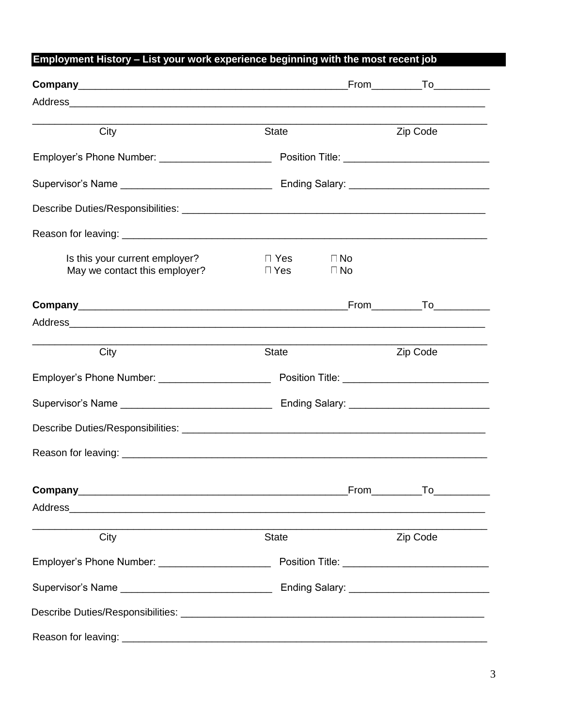## Employment History - List your work experience beginning with the most recent job

| City                                                                                                            | State                      |                        | Zip Code                                     |
|-----------------------------------------------------------------------------------------------------------------|----------------------------|------------------------|----------------------------------------------|
| Employer's Phone Number: _______________________                                                                |                            |                        |                                              |
|                                                                                                                 |                            |                        |                                              |
|                                                                                                                 |                            |                        |                                              |
|                                                                                                                 |                            |                        |                                              |
| Is this your current employer?<br>May we contact this employer?                                                 | $\Box$ Yes<br>$\sqcap$ Yes | $\Box$ No<br>$\Box$ No |                                              |
|                                                                                                                 |                            |                        |                                              |
|                                                                                                                 |                            |                        |                                              |
| City                                                                                                            | <b>State</b>               |                        | Zip Code                                     |
|                                                                                                                 |                            |                        |                                              |
|                                                                                                                 |                            |                        |                                              |
|                                                                                                                 |                            |                        |                                              |
|                                                                                                                 |                            |                        |                                              |
|                                                                                                                 |                            |                        | $From$ To $\qquad \qquad$ To $\qquad \qquad$ |
| Address and the contract of the contract of the contract of the contract of the contract of the contract of the |                            |                        |                                              |
| City                                                                                                            | State                      |                        | Zip Code                                     |
| Employer's Phone Number: _______________________                                                                |                            |                        |                                              |
|                                                                                                                 |                            |                        |                                              |
|                                                                                                                 |                            |                        |                                              |
|                                                                                                                 |                            |                        |                                              |